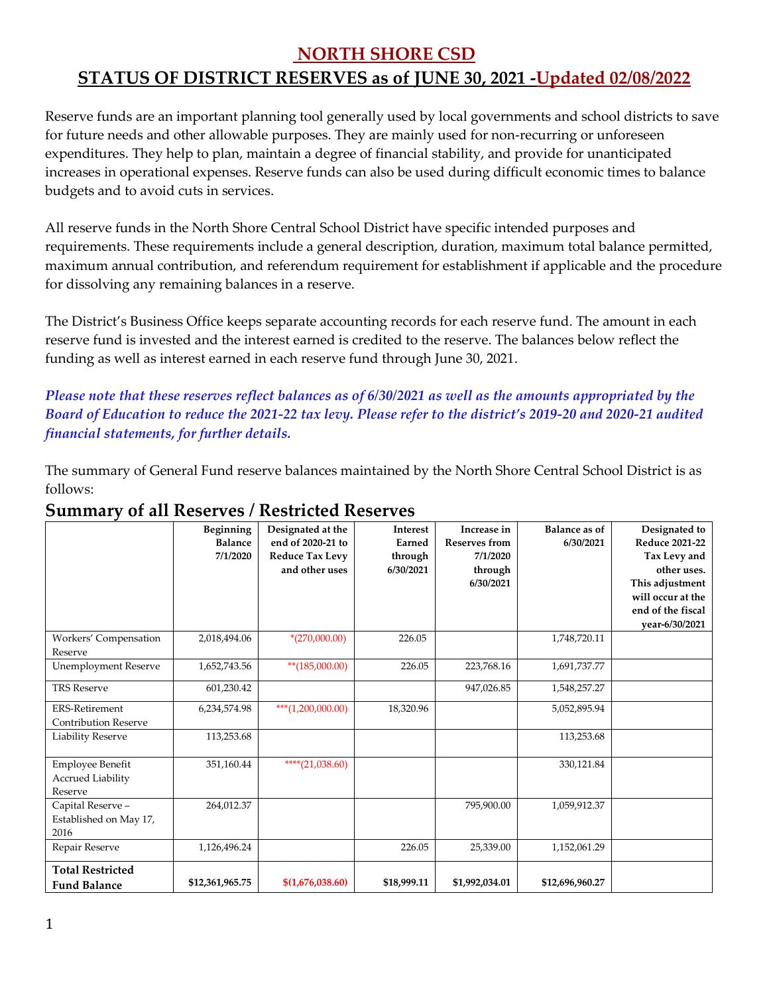#### **NORTH SHORE CSD**

## **STATUS OF DISTRICT RESERVES as of JUNE 30, 2021 -Updated 02/08/2022**

Reserve funds are an important planning tool generally used by local governments and school districts to save for future needs and other allowable purposes. They are mainly used for non-recurring or unforeseen expenditures. They help to plan, maintain a degree of financial stability, and provide for unanticipated increases in operational expenses. Reserve funds can also be used during difficult economic times to balance budgets and to avoid cuts in services.

All reserve funds in the North Shore Central School District have specific intended purposes and requirements. These requirements include a general description, duration, maximum total balance permitted, maximum annual contribution, and referendum requirement for establishment if applicable and the procedure for dissolving any remaining balances in a reserve.

The District's Business Office keeps separate accounting records for each reserve fund. The amount in each reserve fund is invested and the interest earned is credited to the reserve. The balances below reflect the funding as well as interest earned in each reserve fund through June 30, 2021.

*Please note that these reserves reflect balances as of 6/30/2021 as well as the amounts appropriated by the Board of Education to reduce the 2021-22 tax levy. Please refer to the district's 2019-20 and 2020-21 audited financial statements, for further details.*

The summary of General Fund reserve balances maintained by the North Shore Central School District is as follows:

|                                                         | Beginning<br><b>Balance</b><br>7/1/2020 | Designated at the<br>end of 2020-21 to<br><b>Reduce Tax Levy</b><br>and other uses | <b>Interest</b><br>Earned<br>through<br>6/30/2021 | Increase in<br><b>Reserves from</b><br>7/1/2020<br>through<br>6/30/2021 | <b>Balance as of</b><br>6/30/2021 | Designated to<br><b>Reduce 2021-22</b><br>Tax Levy and<br>other uses.<br>This adjustment<br>will occur at the<br>end of the fiscal<br>year-6/30/2021 |
|---------------------------------------------------------|-----------------------------------------|------------------------------------------------------------------------------------|---------------------------------------------------|-------------------------------------------------------------------------|-----------------------------------|------------------------------------------------------------------------------------------------------------------------------------------------------|
| Workers' Compensation<br>Reserve                        | 2,018,494.06                            | $*(270,000.00)$                                                                    | 226.05                                            |                                                                         | 1,748,720.11                      |                                                                                                                                                      |
| <b>Unemployment Reserve</b>                             | 1,652,743.56                            | $**(185,000.00)$                                                                   | 226.05                                            | 223,768.16                                                              | 1,691,737.77                      |                                                                                                                                                      |
| <b>TRS Reserve</b>                                      | 601,230.42                              |                                                                                    |                                                   | 947,026.85                                                              | 1,548,257.27                      |                                                                                                                                                      |
| <b>ERS-Retirement</b><br><b>Contribution Reserve</b>    | 6,234,574.98                            | ***(1,200,000.00)                                                                  | 18,320.96                                         |                                                                         | 5,052,895.94                      |                                                                                                                                                      |
| <b>Liability Reserve</b>                                | 113,253.68                              |                                                                                    |                                                   |                                                                         | 113,253.68                        |                                                                                                                                                      |
| Employee Benefit<br><b>Accrued Liability</b><br>Reserve | 351,160.44                              | ****(21,038.60)                                                                    |                                                   |                                                                         | 330,121.84                        |                                                                                                                                                      |
| Capital Reserve-<br>Established on May 17,<br>2016      | 264,012.37                              |                                                                                    |                                                   | 795,900.00                                                              | 1,059,912.37                      |                                                                                                                                                      |
| Repair Reserve                                          | 1,126,496.24                            |                                                                                    | 226.05                                            | 25,339.00                                                               | 1,152,061.29                      |                                                                                                                                                      |
| <b>Total Restricted</b><br><b>Fund Balance</b>          | \$12,361,965.75                         | \$(1,676,038.60)                                                                   | \$18,999.11                                       | \$1,992,034.01                                                          | \$12,696,960.27                   |                                                                                                                                                      |

## **Summary of all Reserves / Restricted Reserves**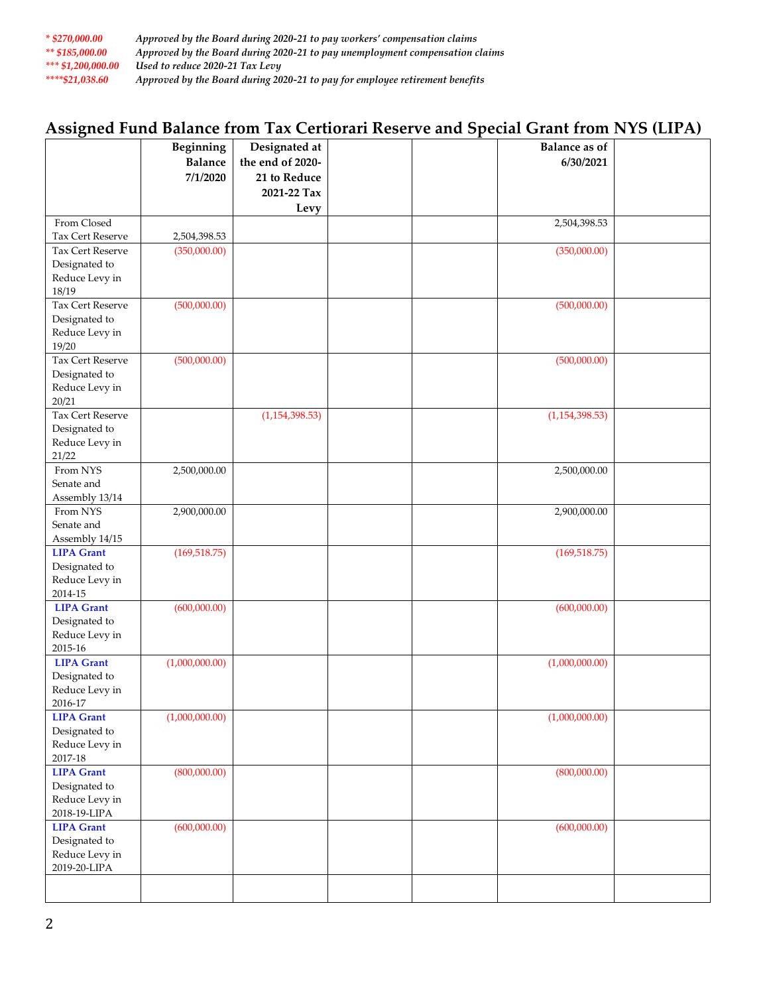| $*$ \$270.000.00   | Approved by the Board during 2020-21 to pay workers' compensation claims     |
|--------------------|------------------------------------------------------------------------------|
| ** $$185.000.00$   | Approved by the Board during 2020-21 to pay unemployment compensation claims |
| *** \$1,200,000.00 | Used to reduce 2020-21 Tax Levy                                              |
| ****\$21.038.60    | Approved by the Board during 2020-21 to pay for employee retirement benefits |

# **Assigned Fund Balance from Tax Certiorari Reserve and Special Grant from NYS (LIPA)**

|                                  | <b>Beginning</b> | Designated at    |  | <b>Balance as of</b> |  |
|----------------------------------|------------------|------------------|--|----------------------|--|
|                                  | <b>Balance</b>   | the end of 2020- |  | 6/30/2021            |  |
|                                  | 7/1/2020         | 21 to Reduce     |  |                      |  |
|                                  |                  | 2021-22 Tax      |  |                      |  |
|                                  |                  | Levy             |  |                      |  |
| From Closed                      |                  |                  |  | 2,504,398.53         |  |
| Tax Cert Reserve                 | 2,504,398.53     |                  |  |                      |  |
| Tax Cert Reserve                 | (350,000.00)     |                  |  | (350,000.00)         |  |
| Designated to                    |                  |                  |  |                      |  |
| Reduce Levy in                   |                  |                  |  |                      |  |
| 18/19                            |                  |                  |  |                      |  |
| Tax Cert Reserve                 | (500,000.00)     |                  |  | (500,000.00)         |  |
| Designated to                    |                  |                  |  |                      |  |
| Reduce Levy in                   |                  |                  |  |                      |  |
| 19/20<br>Tax Cert Reserve        | (500,000.00)     |                  |  | (500,000.00)         |  |
| Designated to                    |                  |                  |  |                      |  |
| Reduce Levy in                   |                  |                  |  |                      |  |
| 20/21                            |                  |                  |  |                      |  |
| Tax Cert Reserve                 |                  | (1, 154, 398.53) |  | (1, 154, 398.53)     |  |
| Designated to                    |                  |                  |  |                      |  |
| Reduce Levy in                   |                  |                  |  |                      |  |
| 21/22                            |                  |                  |  |                      |  |
| From NYS                         | 2,500,000.00     |                  |  | 2,500,000.00         |  |
| Senate and                       |                  |                  |  |                      |  |
| Assembly 13/14                   |                  |                  |  |                      |  |
| From NYS                         | 2,900,000.00     |                  |  | 2,900,000.00         |  |
| Senate and                       |                  |                  |  |                      |  |
| Assembly 14/15                   |                  |                  |  |                      |  |
| <b>LIPA Grant</b>                | (169, 518.75)    |                  |  | (169, 518.75)        |  |
| Designated to                    |                  |                  |  |                      |  |
| Reduce Levy in<br>2014-15        |                  |                  |  |                      |  |
| <b>LIPA Grant</b>                | (600,000.00)     |                  |  | (600,000.00)         |  |
| Designated to                    |                  |                  |  |                      |  |
| Reduce Levy in                   |                  |                  |  |                      |  |
| $2015 - 16$                      |                  |                  |  |                      |  |
| <b>LIPA Grant</b>                | (1,000,000.00)   |                  |  | (1,000,000.00)       |  |
| Designated to                    |                  |                  |  |                      |  |
| Reduce Levy in                   |                  |                  |  |                      |  |
| 2016-17                          |                  |                  |  |                      |  |
| <b>LIPA Grant</b>                | (1,000,000.00)   |                  |  | (1,000,000.00)       |  |
| Designated to                    |                  |                  |  |                      |  |
| Reduce Levy in                   |                  |                  |  |                      |  |
| $2017 - 18$<br><b>LIPA Grant</b> |                  |                  |  |                      |  |
| Designated to                    | (800,000.00)     |                  |  | (800,000.00)         |  |
| Reduce Levy in                   |                  |                  |  |                      |  |
| 2018-19-LIPA                     |                  |                  |  |                      |  |
| <b>LIPA Grant</b>                | (600,000.00)     |                  |  | (600,000.00)         |  |
| Designated to                    |                  |                  |  |                      |  |
| Reduce Levy in                   |                  |                  |  |                      |  |
| 2019-20-LIPA                     |                  |                  |  |                      |  |
|                                  |                  |                  |  |                      |  |
|                                  |                  |                  |  |                      |  |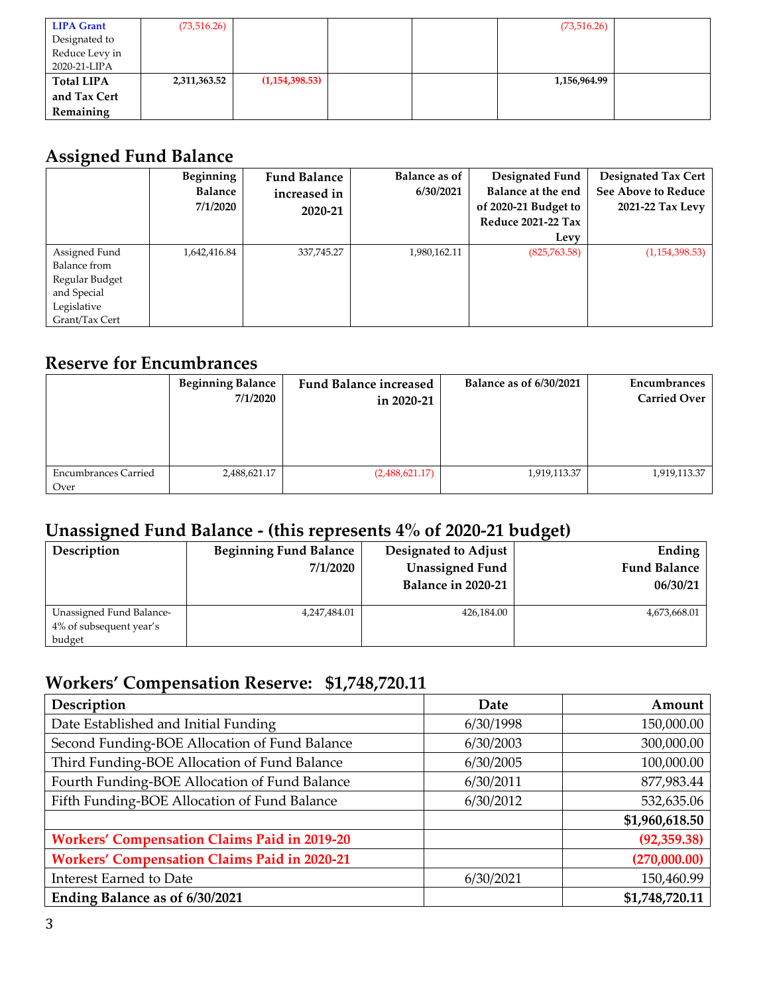| <b>LIPA Grant</b> | (73, 516.26) |                |  | (73, 516.26) |  |
|-------------------|--------------|----------------|--|--------------|--|
| Designated to     |              |                |  |              |  |
| Reduce Levy in    |              |                |  |              |  |
| 2020-21-LIPA      |              |                |  |              |  |
| <b>Total LIPA</b> | 2,311,363.52 | (1,154,398.53) |  | 1,156,964.99 |  |
| and Tax Cert      |              |                |  |              |  |
| Remaining         |              |                |  |              |  |

# **Assigned Fund Balance**

|                                                                                                 | Beginning<br><b>Balance</b><br>7/1/2020 | <b>Fund Balance</b><br>increased in<br>2020-21 | <b>Balance as of</b><br>6/30/2021 | Designated Fund<br>Balance at the end<br>of 2020-21 Budget to<br><b>Reduce 2021-22 Tax</b><br>Levy | Designated Tax Cert<br><b>See Above to Reduce</b><br>2021-22 Tax Levy |
|-------------------------------------------------------------------------------------------------|-----------------------------------------|------------------------------------------------|-----------------------------------|----------------------------------------------------------------------------------------------------|-----------------------------------------------------------------------|
| Assigned Fund<br>Balance from<br>Regular Budget<br>and Special<br>Legislative<br>Grant/Tax Cert | 1,642,416.84                            | 337,745.27                                     | 1,980,162.11                      | (825,763.58)                                                                                       | (1,154,398.53)                                                        |

## **Reserve for Encumbrances**

|                                     | <b>Beginning Balance</b><br>7/1/2020 | <b>Fund Balance increased</b><br>in 2020-21 | <b>Balance as of 6/30/2021</b> | Encumbrances<br><b>Carried Over</b> |
|-------------------------------------|--------------------------------------|---------------------------------------------|--------------------------------|-------------------------------------|
| <b>Encumbrances Carried</b><br>Over | 2,488,621.17                         | (2,488,621.17)                              | 1,919,113.37                   | 1,919,113.37                        |

# **Unassigned Fund Balance - (this represents 4% of 2020-21 budget)**

| Description                                                   | <b>Beginning Fund Balance</b><br>7/1/2020 | Designated to Adjust<br><b>Unassigned Fund</b><br>Balance in 2020-21 | Ending<br><b>Fund Balance</b><br>06/30/21 |
|---------------------------------------------------------------|-------------------------------------------|----------------------------------------------------------------------|-------------------------------------------|
| Unassigned Fund Balance-<br>4% of subsequent year's<br>budget | 4,247,484.01                              | 426,184.00                                                           | 4,673,668.01                              |

# **Workers' Compensation Reserve: \$1,748,720.11**

| Description                                         | Date      | Amount         |
|-----------------------------------------------------|-----------|----------------|
| Date Established and Initial Funding                | 6/30/1998 | 150,000.00     |
| Second Funding-BOE Allocation of Fund Balance       | 6/30/2003 | 300,000.00     |
| Third Funding-BOE Allocation of Fund Balance        | 6/30/2005 | 100,000.00     |
| Fourth Funding-BOE Allocation of Fund Balance       | 6/30/2011 | 877,983.44     |
| Fifth Funding-BOE Allocation of Fund Balance        | 6/30/2012 | 532,635.06     |
|                                                     |           | \$1,960,618.50 |
| <b>Workers' Compensation Claims Paid in 2019-20</b> |           | (92, 359.38)   |
| <b>Workers' Compensation Claims Paid in 2020-21</b> |           | (270,000.00)   |
| <b>Interest Earned to Date</b>                      | 6/30/2021 | 150,460.99     |
| Ending Balance as of 6/30/2021                      |           | \$1,748,720.11 |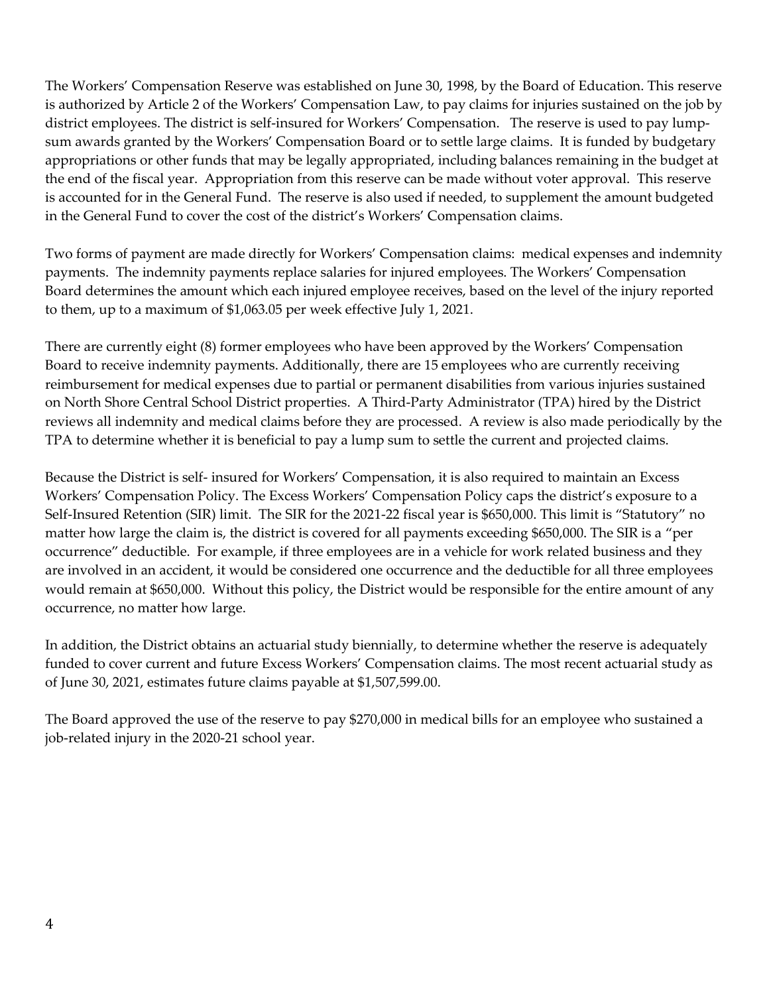The Workers' Compensation Reserve was established on June 30, 1998, by the Board of Education. This reserve is authorized by Article 2 of the Workers' Compensation Law, to pay claims for injuries sustained on the job by district employees. The district is self-insured for Workers' Compensation. The reserve is used to pay lumpsum awards granted by the Workers' Compensation Board or to settle large claims. It is funded by budgetary appropriations or other funds that may be legally appropriated, including balances remaining in the budget at the end of the fiscal year. Appropriation from this reserve can be made without voter approval. This reserve is accounted for in the General Fund. The reserve is also used if needed, to supplement the amount budgeted in the General Fund to cover the cost of the district's Workers' Compensation claims.

Two forms of payment are made directly for Workers' Compensation claims: medical expenses and indemnity payments. The indemnity payments replace salaries for injured employees. The Workers' Compensation Board determines the amount which each injured employee receives, based on the level of the injury reported to them, up to a maximum of \$1,063.05 per week effective July 1, 2021.

There are currently eight (8) former employees who have been approved by the Workers' Compensation Board to receive indemnity payments. Additionally, there are 15 employees who are currently receiving reimbursement for medical expenses due to partial or permanent disabilities from various injuries sustained on North Shore Central School District properties. A Third-Party Administrator (TPA) hired by the District reviews all indemnity and medical claims before they are processed. A review is also made periodically by the TPA to determine whether it is beneficial to pay a lump sum to settle the current and projected claims.

Because the District is self- insured for Workers' Compensation, it is also required to maintain an Excess Workers' Compensation Policy. The Excess Workers' Compensation Policy caps the district's exposure to a Self-Insured Retention (SIR) limit. The SIR for the 2021-22 fiscal year is \$650,000. This limit is "Statutory" no matter how large the claim is, the district is covered for all payments exceeding \$650,000. The SIR is a "per occurrence" deductible. For example, if three employees are in a vehicle for work related business and they are involved in an accident, it would be considered one occurrence and the deductible for all three employees would remain at \$650,000. Without this policy, the District would be responsible for the entire amount of any occurrence, no matter how large.

In addition, the District obtains an actuarial study biennially, to determine whether the reserve is adequately funded to cover current and future Excess Workers' Compensation claims. The most recent actuarial study as of June 30, 2021, estimates future claims payable at \$1,507,599.00.

The Board approved the use of the reserve to pay \$270,000 in medical bills for an employee who sustained a job-related injury in the 2020-21 school year.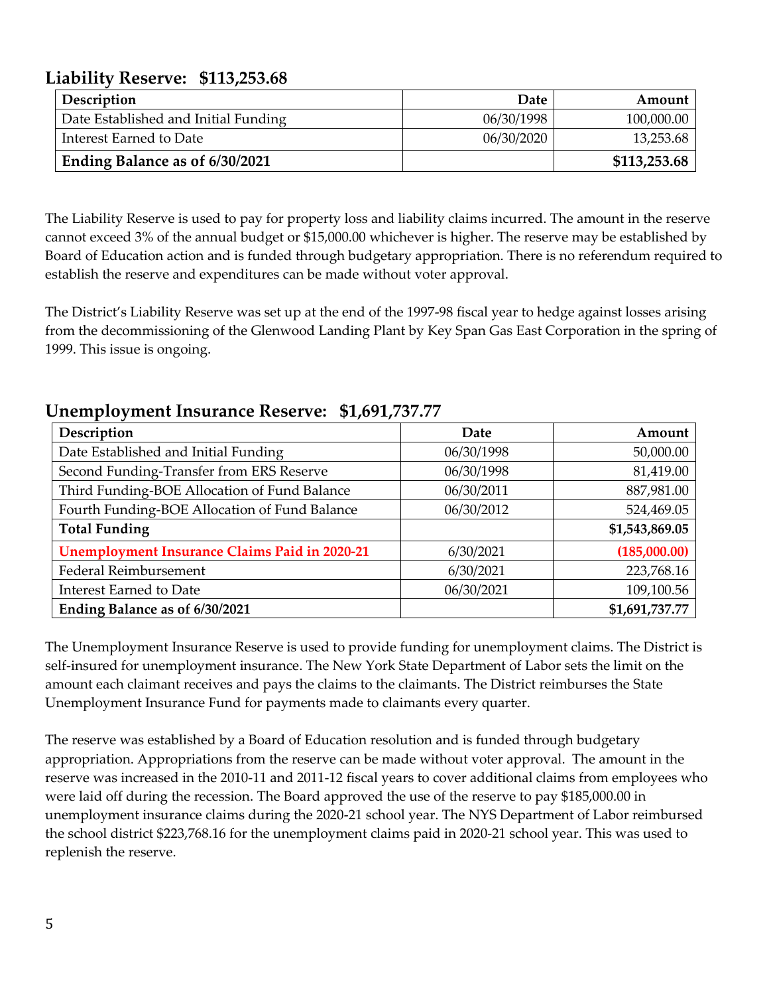## **Liability Reserve: \$113,253.68**

| <b>Description</b>                   | Date       | Amount       |
|--------------------------------------|------------|--------------|
| Date Established and Initial Funding | 06/30/1998 | 100,000.00   |
| Interest Earned to Date              | 06/30/2020 | 13,253.68    |
| Ending Balance as of 6/30/2021       |            | \$113,253.68 |

The Liability Reserve is used to pay for property loss and liability claims incurred. The amount in the reserve cannot exceed 3% of the annual budget or \$15,000.00 whichever is higher. The reserve may be established by Board of Education action and is funded through budgetary appropriation. There is no referendum required to establish the reserve and expenditures can be made without voter approval.

The District's Liability Reserve was set up at the end of the 1997-98 fiscal year to hedge against losses arising from the decommissioning of the Glenwood Landing Plant by Key Span Gas East Corporation in the spring of 1999. This issue is ongoing.

## **Unemployment Insurance Reserve: \$1,691,737.77**

| Description                                          | Date       | Amount         |
|------------------------------------------------------|------------|----------------|
| Date Established and Initial Funding                 | 06/30/1998 | 50,000.00      |
| Second Funding-Transfer from ERS Reserve             | 06/30/1998 | 81,419.00      |
| Third Funding-BOE Allocation of Fund Balance         | 06/30/2011 | 887,981.00     |
| Fourth Funding-BOE Allocation of Fund Balance        | 06/30/2012 | 524,469.05     |
| <b>Total Funding</b>                                 |            | \$1,543,869.05 |
| <b>Unemployment Insurance Claims Paid in 2020-21</b> | 6/30/2021  | (185,000.00)   |
| Federal Reimbursement                                | 6/30/2021  | 223,768.16     |
| <b>Interest Earned to Date</b>                       | 06/30/2021 | 109,100.56     |
| Ending Balance as of 6/30/2021                       |            | \$1,691,737.77 |

The Unemployment Insurance Reserve is used to provide funding for unemployment claims. The District is self-insured for unemployment insurance. The New York State Department of Labor sets the limit on the amount each claimant receives and pays the claims to the claimants. The District reimburses the State Unemployment Insurance Fund for payments made to claimants every quarter.

The reserve was established by a Board of Education resolution and is funded through budgetary appropriation. Appropriations from the reserve can be made without voter approval. The amount in the reserve was increased in the 2010-11 and 2011-12 fiscal years to cover additional claims from employees who were laid off during the recession. The Board approved the use of the reserve to pay \$185,000.00 in unemployment insurance claims during the 2020-21 school year. The NYS Department of Labor reimbursed the school district \$223,768.16 for the unemployment claims paid in 2020-21 school year. This was used to replenish the reserve.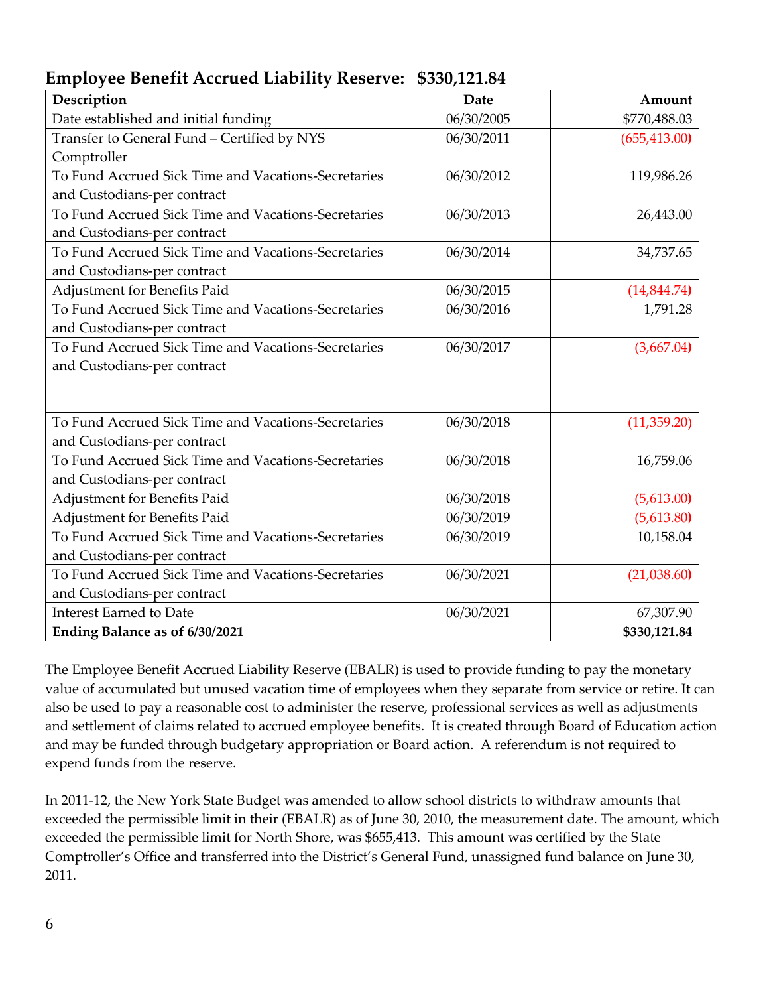| <b>Employee Benefit Accrued Liability Reserve: \$330,121.84</b> |  |  |
|-----------------------------------------------------------------|--|--|
|                                                                 |  |  |

| Description                                         | <b>Date</b> | Amount        |
|-----------------------------------------------------|-------------|---------------|
| Date established and initial funding                | 06/30/2005  | \$770,488.03  |
| Transfer to General Fund - Certified by NYS         | 06/30/2011  | (655, 413.00) |
| Comptroller                                         |             |               |
| To Fund Accrued Sick Time and Vacations-Secretaries | 06/30/2012  | 119,986.26    |
| and Custodians-per contract                         |             |               |
| To Fund Accrued Sick Time and Vacations-Secretaries | 06/30/2013  | 26,443.00     |
| and Custodians-per contract                         |             |               |
| To Fund Accrued Sick Time and Vacations-Secretaries | 06/30/2014  | 34,737.65     |
| and Custodians-per contract                         |             |               |
| Adjustment for Benefits Paid                        | 06/30/2015  | (14, 844.74)  |
| To Fund Accrued Sick Time and Vacations-Secretaries | 06/30/2016  | 1,791.28      |
| and Custodians-per contract                         |             |               |
| To Fund Accrued Sick Time and Vacations-Secretaries | 06/30/2017  | (3,667.04)    |
| and Custodians-per contract                         |             |               |
|                                                     |             |               |
|                                                     |             |               |
| To Fund Accrued Sick Time and Vacations-Secretaries | 06/30/2018  | (11, 359.20)  |
| and Custodians-per contract                         |             |               |
| To Fund Accrued Sick Time and Vacations-Secretaries | 06/30/2018  | 16,759.06     |
| and Custodians-per contract                         |             |               |
| Adjustment for Benefits Paid                        | 06/30/2018  | (5,613.00)    |
| Adjustment for Benefits Paid                        | 06/30/2019  | (5,613.80)    |
| To Fund Accrued Sick Time and Vacations-Secretaries | 06/30/2019  | 10,158.04     |
| and Custodians-per contract                         |             |               |
| To Fund Accrued Sick Time and Vacations-Secretaries | 06/30/2021  | (21,038.60)   |
| and Custodians-per contract                         |             |               |
| <b>Interest Earned to Date</b>                      | 06/30/2021  | 67,307.90     |
| Ending Balance as of 6/30/2021                      |             | \$330,121.84  |

The Employee Benefit Accrued Liability Reserve (EBALR) is used to provide funding to pay the monetary value of accumulated but unused vacation time of employees when they separate from service or retire. It can also be used to pay a reasonable cost to administer the reserve, professional services as well as adjustments and settlement of claims related to accrued employee benefits. It is created through Board of Education action and may be funded through budgetary appropriation or Board action. A referendum is not required to expend funds from the reserve.

In 2011-12, the New York State Budget was amended to allow school districts to withdraw amounts that exceeded the permissible limit in their (EBALR) as of June 30, 2010, the measurement date. The amount, which exceeded the permissible limit for North Shore, was \$655,413. This amount was certified by the State Comptroller's Office and transferred into the District's General Fund, unassigned fund balance on June 30, 2011.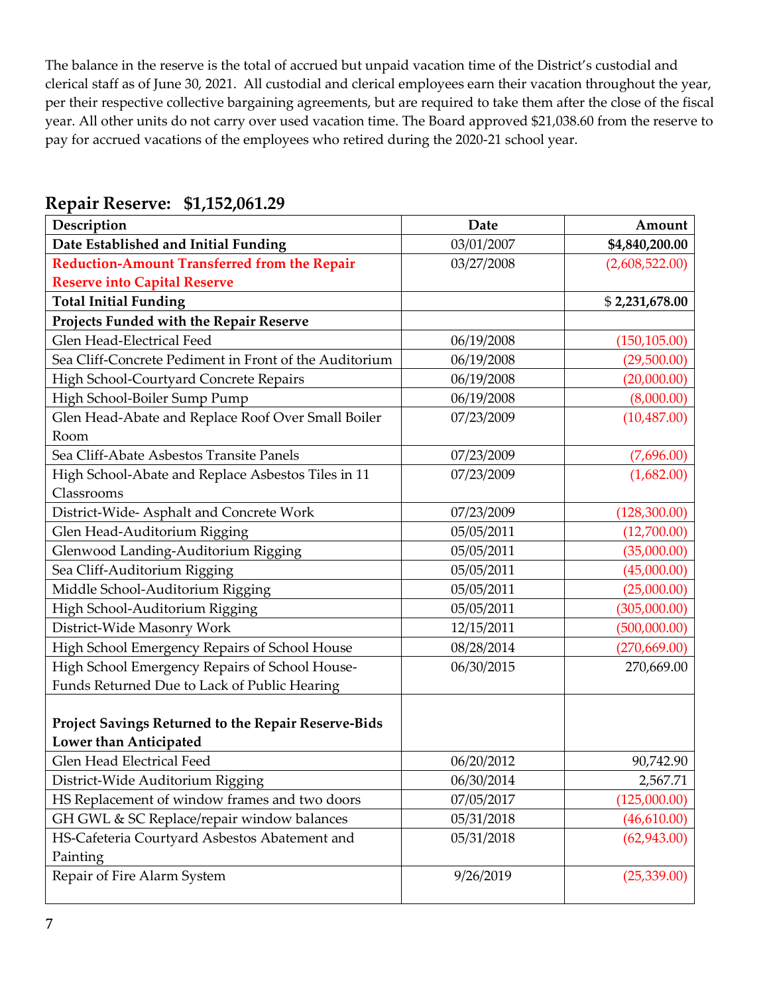The balance in the reserve is the total of accrued but unpaid vacation time of the District's custodial and clerical staff as of June 30, 2021. All custodial and clerical employees earn their vacation throughout the year, per their respective collective bargaining agreements, but are required to take them after the close of the fiscal year. All other units do not carry over used vacation time. The Board approved \$21,038.60 from the reserve to pay for accrued vacations of the employees who retired during the 2020-21 school year.

| Description                                            | Date       | Amount         |
|--------------------------------------------------------|------------|----------------|
| Date Established and Initial Funding                   | 03/01/2007 | \$4,840,200.00 |
| <b>Reduction-Amount Transferred from the Repair</b>    | 03/27/2008 | (2,608,522.00) |
| <b>Reserve into Capital Reserve</b>                    |            |                |
| <b>Total Initial Funding</b>                           |            | \$2,231,678.00 |
| Projects Funded with the Repair Reserve                |            |                |
| Glen Head-Electrical Feed                              | 06/19/2008 | (150, 105.00)  |
| Sea Cliff-Concrete Pediment in Front of the Auditorium | 06/19/2008 | (29,500.00)    |
| High School-Courtyard Concrete Repairs                 | 06/19/2008 | (20,000.00)    |
| High School-Boiler Sump Pump                           | 06/19/2008 | (8,000.00)     |
| Glen Head-Abate and Replace Roof Over Small Boiler     | 07/23/2009 | (10, 487.00)   |
| Room                                                   |            |                |
| Sea Cliff-Abate Asbestos Transite Panels               | 07/23/2009 | (7,696.00)     |
| High School-Abate and Replace Asbestos Tiles in 11     | 07/23/2009 | (1,682.00)     |
| Classrooms                                             |            |                |
| District-Wide- Asphalt and Concrete Work               | 07/23/2009 | (128,300.00)   |
| Glen Head-Auditorium Rigging                           | 05/05/2011 | (12,700.00)    |
| Glenwood Landing-Auditorium Rigging                    | 05/05/2011 | (35,000.00)    |
| Sea Cliff-Auditorium Rigging                           | 05/05/2011 | (45,000.00)    |
| Middle School-Auditorium Rigging                       | 05/05/2011 | (25,000.00)    |
| High School-Auditorium Rigging                         | 05/05/2011 | (305,000.00)   |
| District-Wide Masonry Work                             | 12/15/2011 | (500,000.00)   |
| High School Emergency Repairs of School House          | 08/28/2014 | (270, 669.00)  |
| High School Emergency Repairs of School House-         | 06/30/2015 | 270,669.00     |
| Funds Returned Due to Lack of Public Hearing           |            |                |
|                                                        |            |                |
| Project Savings Returned to the Repair Reserve-Bids    |            |                |
| Lower than Anticipated                                 |            |                |
| Glen Head Electrical Feed                              | 06/20/2012 | 90,742.90      |
| District-Wide Auditorium Rigging                       | 06/30/2014 | 2,567.71       |
| HS Replacement of window frames and two doors          | 07/05/2017 | (125,000.00)   |
| GH GWL & SC Replace/repair window balances             | 05/31/2018 | (46,610.00)    |
| HS-Cafeteria Courtyard Asbestos Abatement and          | 05/31/2018 | (62, 943.00)   |
| Painting                                               |            |                |
| Repair of Fire Alarm System                            | 9/26/2019  | (25,339.00)    |

### **Repair Reserve: \$1,152,061.29**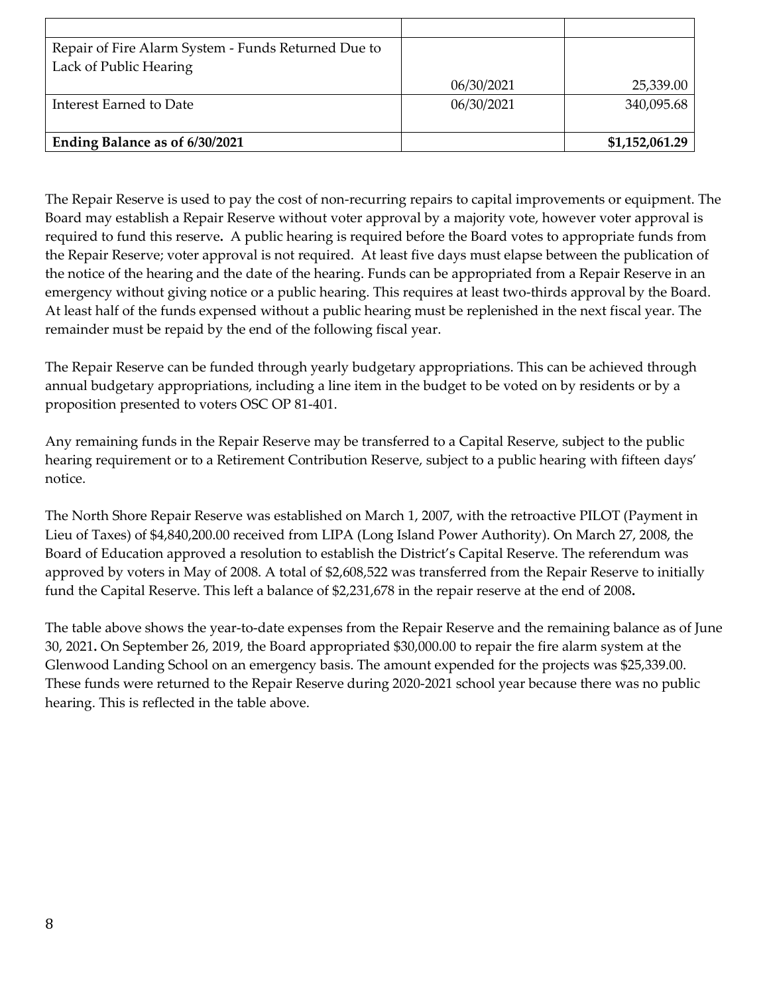| 06/30/2021 | 25,339.00      |
|------------|----------------|
| 06/30/2021 | 340,095.68     |
|            |                |
|            | \$1,152,061.29 |
|            |                |

The Repair Reserve is used to pay the cost of non-recurring repairs to capital improvements or equipment. The Board may establish a Repair Reserve without voter approval by a majority vote, however voter approval is required to fund this reserve**.** A public hearing is required before the Board votes to appropriate funds from the Repair Reserve; voter approval is not required. At least five days must elapse between the publication of the notice of the hearing and the date of the hearing. Funds can be appropriated from a Repair Reserve in an emergency without giving notice or a public hearing. This requires at least two-thirds approval by the Board. At least half of the funds expensed without a public hearing must be replenished in the next fiscal year. The remainder must be repaid by the end of the following fiscal year.

The Repair Reserve can be funded through yearly budgetary appropriations. This can be achieved through annual budgetary appropriations, including a line item in the budget to be voted on by residents or by a proposition presented to voters OSC OP 81-401.

Any remaining funds in the Repair Reserve may be transferred to a Capital Reserve, subject to the public hearing requirement or to a Retirement Contribution Reserve, subject to a public hearing with fifteen days' notice.

The North Shore Repair Reserve was established on March 1, 2007, with the retroactive PILOT (Payment in Lieu of Taxes) of \$4,840,200.00 received from LIPA (Long Island Power Authority). On March 27, 2008, the Board of Education approved a resolution to establish the District's Capital Reserve. The referendum was approved by voters in May of 2008. A total of \$2,608,522 was transferred from the Repair Reserve to initially fund the Capital Reserve. This left a balance of \$2,231,678 in the repair reserve at the end of 2008**.** 

The table above shows the year-to-date expenses from the Repair Reserve and the remaining balance as of June 30, 2021**.** On September 26, 2019, the Board appropriated \$30,000.00 to repair the fire alarm system at the Glenwood Landing School on an emergency basis. The amount expended for the projects was \$25,339.00. These funds were returned to the Repair Reserve during 2020-2021 school year because there was no public hearing. This is reflected in the table above.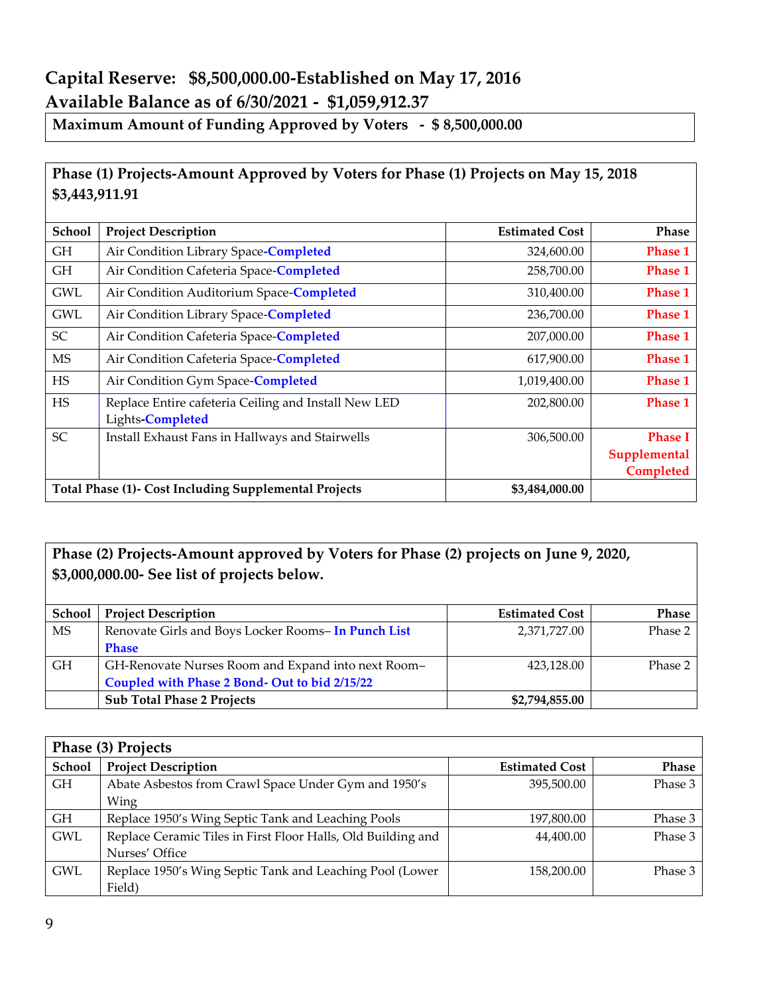# **Capital Reserve: \$8,500,000.00-Established on May 17, 2016 Available Balance as of 6/30/2021 - \$1,059,912.37**

**Maximum Amount of Funding Approved by Voters - \$ 8,500,000.00**

#### **Phase (1) Projects-Amount Approved by Voters for Phase (1) Projects on May 15, 2018 \$3,443,911.91**

| <b>School</b> | <b>Project Description</b>                                               | <b>Estimated Cost</b> | <b>Phase</b>                                |
|---------------|--------------------------------------------------------------------------|-----------------------|---------------------------------------------|
| GH            | Air Condition Library Space-Completed                                    | 324,600.00            | <b>Phase 1</b>                              |
| GH            | Air Condition Cafeteria Space-Completed                                  | 258,700.00            | <b>Phase 1</b>                              |
| <b>GWL</b>    | Air Condition Auditorium Space-Completed                                 | 310,400.00            | <b>Phase 1</b>                              |
| <b>GWL</b>    | Air Condition Library Space-Completed                                    | 236,700.00            | <b>Phase 1</b>                              |
| SC            | Air Condition Cafeteria Space-Completed                                  | 207,000.00            | <b>Phase 1</b>                              |
| <b>MS</b>     | Air Condition Cafeteria Space-Completed                                  | 617,900.00            | <b>Phase 1</b>                              |
| <b>HS</b>     | Air Condition Gym Space-Completed                                        | 1,019,400.00          | <b>Phase 1</b>                              |
| <b>HS</b>     | Replace Entire cafeteria Ceiling and Install New LED<br>Lights-Completed | 202,800.00            | <b>Phase 1</b>                              |
| <b>SC</b>     | Install Exhaust Fans in Hallways and Stairwells                          | 306,500.00            | <b>Phase I</b><br>Supplemental<br>Completed |
|               | Total Phase (1)- Cost Including Supplemental Projects                    | \$3,484,000.00        |                                             |

#### **Phase (2) Projects-Amount approved by Voters for Phase (2) projects on June 9, 2020, \$3,000,000.00- See list of projects below.**

| <b>School</b> | <b>Project Description</b>                         | <b>Estimated Cost</b> | <b>Phase</b> |
|---------------|----------------------------------------------------|-----------------------|--------------|
| MS            | Renovate Girls and Boys Locker Rooms-In Punch List | 2,371,727.00          | Phase 2      |
|               | <b>Phase</b>                                       |                       |              |
| <b>GH</b>     | GH-Renovate Nurses Room and Expand into next Room- | 423,128.00            | Phase 2      |
|               | Coupled with Phase 2 Bond- Out to bid 2/15/22      |                       |              |
|               | <b>Sub Total Phase 2 Projects</b>                  | \$2,794,855.00        |              |

| Phase (3) Projects |                                                              |                       |              |
|--------------------|--------------------------------------------------------------|-----------------------|--------------|
| School             | <b>Project Description</b>                                   | <b>Estimated Cost</b> | <b>Phase</b> |
| GH.                | Abate Asbestos from Crawl Space Under Gym and 1950's         | 395,500.00            | Phase 3      |
|                    | Wing                                                         |                       |              |
| GH.                | Replace 1950's Wing Septic Tank and Leaching Pools           | 197,800.00            | Phase 3      |
| <b>GWL</b>         | Replace Ceramic Tiles in First Floor Halls, Old Building and | 44,400.00             | Phase 3      |
|                    | Nurses' Office                                               |                       |              |
| <b>GWL</b>         | Replace 1950's Wing Septic Tank and Leaching Pool (Lower     | 158,200.00            | Phase 3      |
|                    | Field)                                                       |                       |              |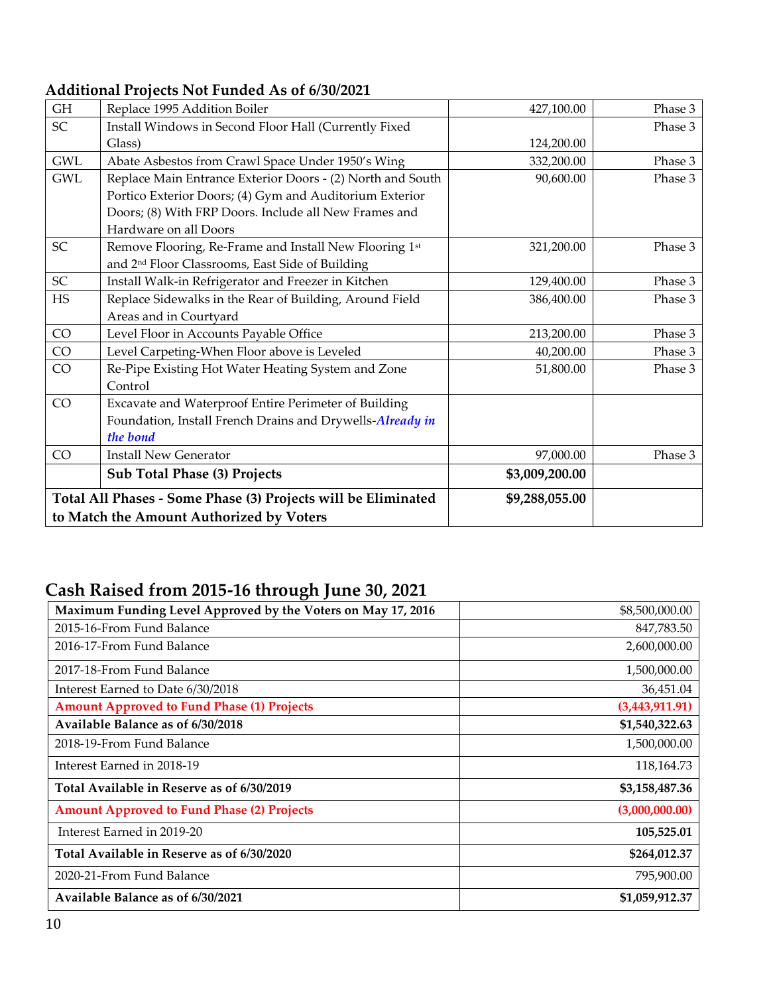#### **Additional Projects Not Funded As of 6/30/2021**

| <b>GH</b>  | Replace 1995 Addition Boiler                                  | 427,100.00     | Phase 3 |
|------------|---------------------------------------------------------------|----------------|---------|
| SC         | Install Windows in Second Floor Hall (Currently Fixed         |                | Phase 3 |
|            | Glass)                                                        | 124,200.00     |         |
| <b>GWL</b> | Abate Asbestos from Crawl Space Under 1950's Wing             | 332,200.00     | Phase 3 |
| <b>GWL</b> | Replace Main Entrance Exterior Doors - (2) North and South    | 90,600.00      | Phase 3 |
|            | Portico Exterior Doors; (4) Gym and Auditorium Exterior       |                |         |
|            | Doors; (8) With FRP Doors. Include all New Frames and         |                |         |
|            | Hardware on all Doors                                         |                |         |
| SC         | Remove Flooring, Re-Frame and Install New Flooring 1st        | 321,200.00     | Phase 3 |
|            | and 2 <sup>nd</sup> Floor Classrooms, East Side of Building   |                |         |
| SC         | Install Walk-in Refrigerator and Freezer in Kitchen           | 129,400.00     | Phase 3 |
| $\rm HS$   | Replace Sidewalks in the Rear of Building, Around Field       | 386,400.00     | Phase 3 |
|            | Areas and in Courtyard                                        |                |         |
| CO         | Level Floor in Accounts Payable Office                        | 213,200.00     | Phase 3 |
| CO         | Level Carpeting-When Floor above is Leveled                   | 40,200.00      | Phase 3 |
| CO         | Re-Pipe Existing Hot Water Heating System and Zone            | 51,800.00      | Phase 3 |
|            | Control                                                       |                |         |
| CO         | Excavate and Waterproof Entire Perimeter of Building          |                |         |
|            | Foundation, Install French Drains and Drywells-Already in     |                |         |
|            | the bond                                                      |                |         |
| CO         | <b>Install New Generator</b>                                  | 97,000.00      | Phase 3 |
|            | <b>Sub Total Phase (3) Projects</b>                           | \$3,009,200.00 |         |
|            | Total All Phases - Some Phase (3) Projects will be Eliminated | \$9,288,055.00 |         |
|            | to Match the Amount Authorized by Voters                      |                |         |

# **Cash Raised from 2015-16 through June 30, 2021**

| Maximum Funding Level Approved by the Voters on May 17, 2016 | \$8,500,000.00 |
|--------------------------------------------------------------|----------------|
| 2015-16-From Fund Balance                                    | 847,783.50     |
| 2016-17-From Fund Balance                                    | 2,600,000.00   |
| 2017-18-From Fund Balance                                    | 1,500,000.00   |
| Interest Earned to Date 6/30/2018                            | 36,451.04      |
| <b>Amount Approved to Fund Phase (1) Projects</b>            | (3,443,911.91) |
| Available Balance as of 6/30/2018                            | \$1,540,322.63 |
| 2018-19-From Fund Balance                                    | 1,500,000.00   |
| Interest Earned in 2018-19                                   | 118,164.73     |
| Total Available in Reserve as of 6/30/2019                   | \$3,158,487.36 |
| <b>Amount Approved to Fund Phase (2) Projects</b>            | (3,000,000.00) |
| Interest Earned in 2019-20                                   | 105,525.01     |
| Total Available in Reserve as of 6/30/2020                   | \$264,012.37   |
| 2020-21-From Fund Balance                                    | 795,900.00     |
| Available Balance as of 6/30/2021                            | \$1,059,912.37 |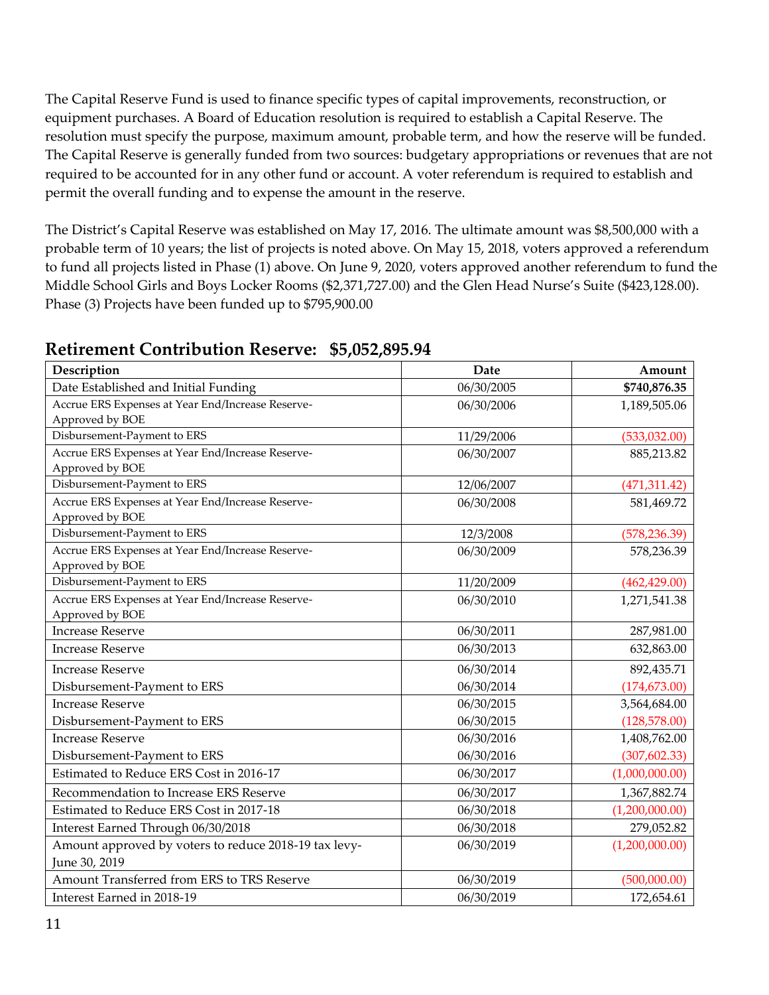The Capital Reserve Fund is used to finance specific types of capital improvements, reconstruction, or equipment purchases. A Board of Education resolution is required to establish a Capital Reserve. The resolution must specify the purpose, maximum amount, probable term, and how the reserve will be funded. The Capital Reserve is generally funded from two sources: budgetary appropriations or revenues that are not required to be accounted for in any other fund or account. A voter referendum is required to establish and permit the overall funding and to expense the amount in the reserve.

The District's Capital Reserve was established on May 17, 2016. The ultimate amount was \$8,500,000 with a probable term of 10 years; the list of projects is noted above. On May 15, 2018, voters approved a referendum to fund all projects listed in Phase (1) above. On June 9, 2020, voters approved another referendum to fund the Middle School Girls and Boys Locker Rooms (\$2,371,727.00) and the Glen Head Nurse's Suite (\$423,128.00). Phase (3) Projects have been funded up to \$795,900.00

| Description                                                            | Date       | Amount         |
|------------------------------------------------------------------------|------------|----------------|
| Date Established and Initial Funding                                   | 06/30/2005 | \$740,876.35   |
| Accrue ERS Expenses at Year End/Increase Reserve-<br>Approved by BOE   | 06/30/2006 | 1,189,505.06   |
| Disbursement-Payment to ERS                                            | 11/29/2006 | (533,032.00)   |
| Accrue ERS Expenses at Year End/Increase Reserve-<br>Approved by BOE   | 06/30/2007 | 885,213.82     |
| Disbursement-Payment to ERS                                            | 12/06/2007 | (471, 311.42)  |
| Accrue ERS Expenses at Year End/Increase Reserve-<br>Approved by BOE   | 06/30/2008 | 581,469.72     |
| Disbursement-Payment to ERS                                            | 12/3/2008  | (578, 236.39)  |
| Accrue ERS Expenses at Year End/Increase Reserve-<br>Approved by BOE   | 06/30/2009 | 578,236.39     |
| Disbursement-Payment to ERS                                            | 11/20/2009 | (462, 429.00)  |
| Accrue ERS Expenses at Year End/Increase Reserve-<br>Approved by BOE   | 06/30/2010 | 1,271,541.38   |
| <b>Increase Reserve</b>                                                | 06/30/2011 | 287,981.00     |
| <b>Increase Reserve</b>                                                | 06/30/2013 | 632,863.00     |
| <b>Increase Reserve</b>                                                | 06/30/2014 | 892,435.71     |
| Disbursement-Payment to ERS                                            | 06/30/2014 | (174, 673.00)  |
| <b>Increase Reserve</b>                                                | 06/30/2015 | 3,564,684.00   |
| Disbursement-Payment to ERS                                            | 06/30/2015 | (128, 578.00)  |
| <b>Increase Reserve</b>                                                | 06/30/2016 | 1,408,762.00   |
| Disbursement-Payment to ERS                                            | 06/30/2016 | (307, 602.33)  |
| Estimated to Reduce ERS Cost in 2016-17                                | 06/30/2017 | (1,000,000.00) |
| Recommendation to Increase ERS Reserve                                 | 06/30/2017 | 1,367,882.74   |
| Estimated to Reduce ERS Cost in 2017-18                                | 06/30/2018 | (1,200,000.00) |
| Interest Earned Through 06/30/2018                                     | 06/30/2018 | 279,052.82     |
| Amount approved by voters to reduce 2018-19 tax levy-<br>June 30, 2019 | 06/30/2019 | (1,200,000.00) |
| Amount Transferred from ERS to TRS Reserve                             | 06/30/2019 | (500,000.00)   |
| Interest Earned in 2018-19                                             | 06/30/2019 | 172,654.61     |

#### **Retirement Contribution Reserve: \$5,052,895.94**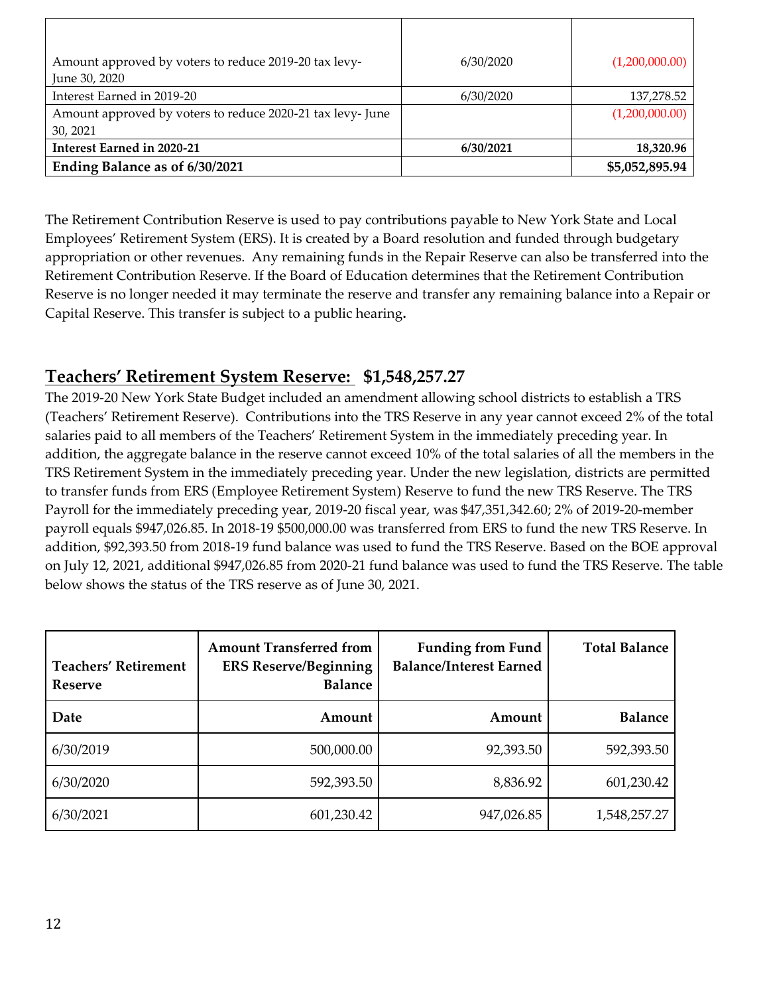| Amount approved by voters to reduce 2019-20 tax levy-      | 6/30/2020 | (1,200,000.00) |
|------------------------------------------------------------|-----------|----------------|
| June 30, 2020                                              |           |                |
| Interest Earned in 2019-20                                 | 6/30/2020 | 137,278.52     |
| Amount approved by voters to reduce 2020-21 tax levy- June |           | (1,200,000.00) |
| 30, 2021                                                   |           |                |
| Interest Earned in 2020-21                                 | 6/30/2021 | 18,320.96      |
| Ending Balance as of 6/30/2021                             |           | \$5,052,895.94 |

The Retirement Contribution Reserve is used to pay contributions payable to New York State and Local Employees' Retirement System (ERS). It is created by a Board resolution and funded through budgetary appropriation or other revenues. Any remaining funds in the Repair Reserve can also be transferred into the Retirement Contribution Reserve. If the Board of Education determines that the Retirement Contribution Reserve is no longer needed it may terminate the reserve and transfer any remaining balance into a Repair or Capital Reserve. This transfer is subject to a public hearing**.** 

## **Teachers' Retirement System Reserve: \$1,548,257.27**

The 2019-20 New York State Budget included an amendment allowing school districts to establish a TRS (Teachers' Retirement Reserve). Contributions into the TRS Reserve in any year cannot exceed 2% of the total salaries paid to all members of the Teachers' Retirement System in the immediately preceding year. In addition, the aggregate balance in the reserve cannot exceed 10% of the total salaries of all the members in the TRS Retirement System in the immediately preceding year. Under the new legislation, districts are permitted to transfer funds from ERS (Employee Retirement System) Reserve to fund the new TRS Reserve. The TRS Payroll for the immediately preceding year, 2019-20 fiscal year, was \$47,351,342.60; 2% of 2019-20-member payroll equals \$947,026.85. In 2018-19 \$500,000.00 was transferred from ERS to fund the new TRS Reserve. In addition, \$92,393.50 from 2018-19 fund balance was used to fund the TRS Reserve. Based on the BOE approval on July 12, 2021, additional \$947,026.85 from 2020-21 fund balance was used to fund the TRS Reserve. The table below shows the status of the TRS reserve as of June 30, 2021.

| <b>Teachers' Retirement</b><br>Reserve | <b>Amount Transferred from</b><br><b>ERS Reserve/Beginning</b><br><b>Balance</b> | <b>Funding from Fund</b><br><b>Balance/Interest Earned</b> | <b>Total Balance</b> |
|----------------------------------------|----------------------------------------------------------------------------------|------------------------------------------------------------|----------------------|
| Date                                   | Amount                                                                           | Amount                                                     | <b>Balance</b>       |
| 6/30/2019                              | 500,000.00                                                                       | 92,393.50                                                  | 592,393.50           |
| 6/30/2020                              | 592,393.50                                                                       | 8,836.92                                                   | 601,230.42           |
| 6/30/2021                              | 601,230.42                                                                       | 947,026.85                                                 | 1,548,257.27         |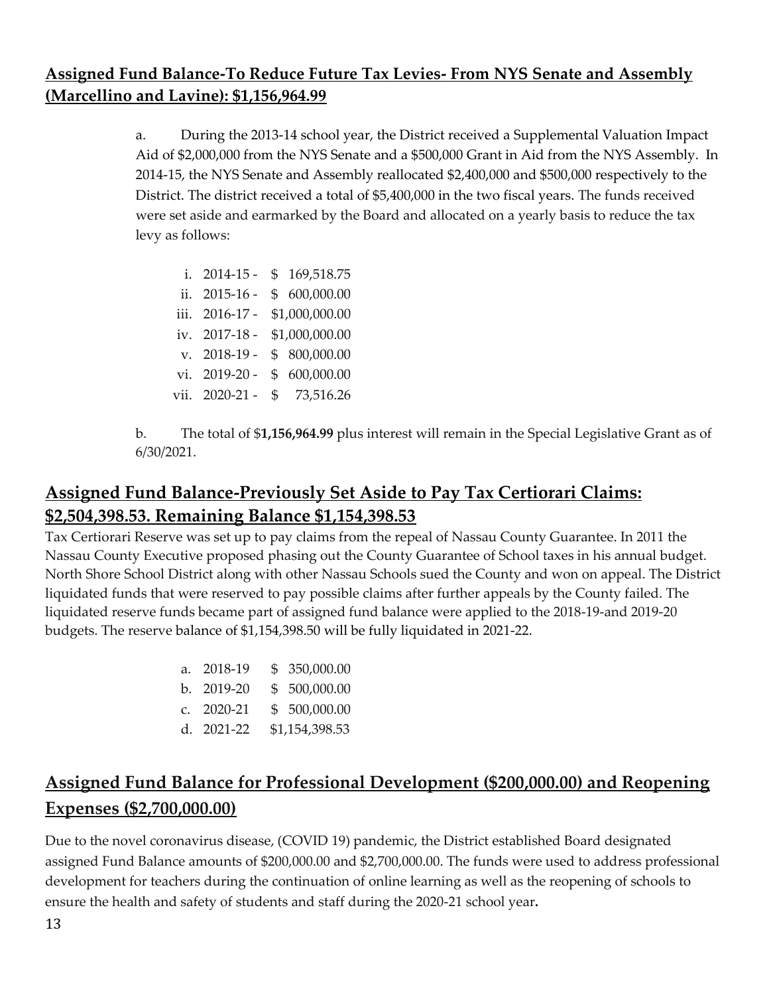## **Assigned Fund Balance-To Reduce Future Tax Levies- From NYS Senate and Assembly (Marcellino and Lavine): \$1,156,964.99**

a. During the 2013-14 school year, the District received a Supplemental Valuation Impact Aid of \$2,000,000 from the NYS Senate and a \$500,000 Grant in Aid from the NYS Assembly. In 2014-15, the NYS Senate and Assembly reallocated \$2,400,000 and \$500,000 respectively to the District. The district received a total of \$5,400,000 in the two fiscal years. The funds received were set aside and earmarked by the Board and allocated on a yearly basis to reduce the tax levy as follows:

- i. 2014-15 \$ 169,518.75 ii. 2015-16 - \$ 600,000.00 iii. 2016-17 - \$1,000,000.00 iv. 2017-18 - \$1,000,000.00 v. 2018-19 - \$ 800,000.00 vi. 2019-20 - \$ 600,000.00 vii. 2020-21 - \$ 73,516.26
- b. The total of \$**1,156,964.99** plus interest will remain in the Special Legislative Grant as of 6/30/2021.

# **Assigned Fund Balance-Previously Set Aside to Pay Tax Certiorari Claims: \$2,504,398.53. Remaining Balance \$1,154,398.53**

Tax Certiorari Reserve was set up to pay claims from the repeal of Nassau County Guarantee. In 2011 the Nassau County Executive proposed phasing out the County Guarantee of School taxes in his annual budget. North Shore School District along with other Nassau Schools sued the County and won on appeal. The District liquidated funds that were reserved to pay possible claims after further appeals by the County failed. The liquidated reserve funds became part of assigned fund balance were applied to the 2018-19-and 2019-20 budgets. The reserve balance of \$1,154,398.50 will be fully liquidated in 2021-22.

| a. 2018-19   | \$ 350,000.00  |
|--------------|----------------|
| b. 2019-20   | \$500,000.00   |
| c. $2020-21$ | \$ 500,000.00  |
| d. 2021-22   | \$1,154,398.53 |

# **Assigned Fund Balance for Professional Development (\$200,000.00) and Reopening Expenses (\$2,700,000.00)**

Due to the novel coronavirus disease, (COVID 19) pandemic, the District established Board designated assigned Fund Balance amounts of \$200,000.00 and \$2,700,000.00. The funds were used to address professional development for teachers during the continuation of online learning as well as the reopening of schools to ensure the health and safety of students and staff during the 2020-21 school year**.**